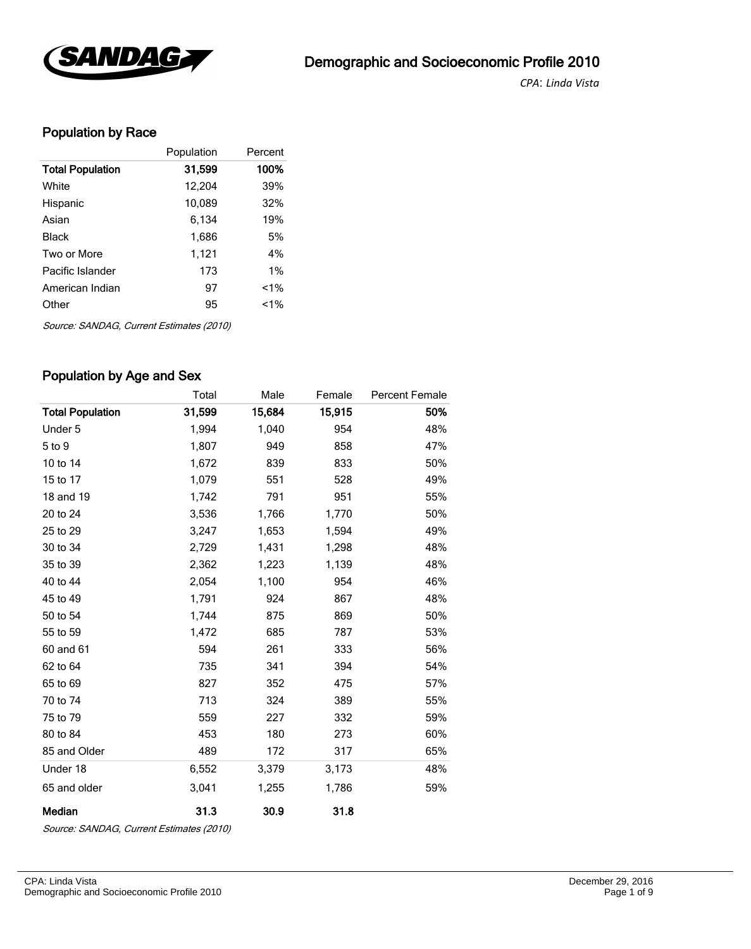

*CPA*: *Linda Vista* 

# Population by Race

|                         | Population | Percent |
|-------------------------|------------|---------|
| <b>Total Population</b> | 31,599     | 100%    |
| White                   | 12,204     | 39%     |
| Hispanic                | 10,089     | 32%     |
| Asian                   | 6,134      | 19%     |
| Black                   | 1,686      | 5%      |
| Two or More             | 1,121      | 4%      |
| Pacific Islander        | 173        | 1%      |
| American Indian         | 97         | $1\%$   |
| Other                   | 95         | $1\%$   |
|                         |            |         |

Source: SANDAG, Current Estimates (2010)

### Population by Age and Sex

|                         | Total  | Male   | Female | <b>Percent Female</b> |
|-------------------------|--------|--------|--------|-----------------------|
| <b>Total Population</b> | 31,599 | 15,684 | 15,915 | 50%                   |
| Under 5                 | 1,994  | 1,040  | 954    | 48%                   |
| 5 to 9                  | 1,807  | 949    | 858    | 47%                   |
| 10 to 14                | 1,672  | 839    | 833    | 50%                   |
| 15 to 17                | 1,079  | 551    | 528    | 49%                   |
| 18 and 19               | 1,742  | 791    | 951    | 55%                   |
| 20 to 24                | 3,536  | 1,766  | 1,770  | 50%                   |
| 25 to 29                | 3,247  | 1,653  | 1,594  | 49%                   |
| 30 to 34                | 2,729  | 1,431  | 1,298  | 48%                   |
| 35 to 39                | 2,362  | 1,223  | 1,139  | 48%                   |
| 40 to 44                | 2,054  | 1,100  | 954    | 46%                   |
| 45 to 49                | 1,791  | 924    | 867    | 48%                   |
| 50 to 54                | 1,744  | 875    | 869    | 50%                   |
| 55 to 59                | 1,472  | 685    | 787    | 53%                   |
| 60 and 61               | 594    | 261    | 333    | 56%                   |
| 62 to 64                | 735    | 341    | 394    | 54%                   |
| 65 to 69                | 827    | 352    | 475    | 57%                   |
| 70 to 74                | 713    | 324    | 389    | 55%                   |
| 75 to 79                | 559    | 227    | 332    | 59%                   |
| 80 to 84                | 453    | 180    | 273    | 60%                   |
| 85 and Older            | 489    | 172    | 317    | 65%                   |
| Under 18                | 6,552  | 3,379  | 3,173  | 48%                   |
| 65 and older            | 3,041  | 1,255  | 1,786  | 59%                   |
| Median                  | 31.3   | 30.9   | 31.8   |                       |

Source: SANDAG, Current Estimates (2010)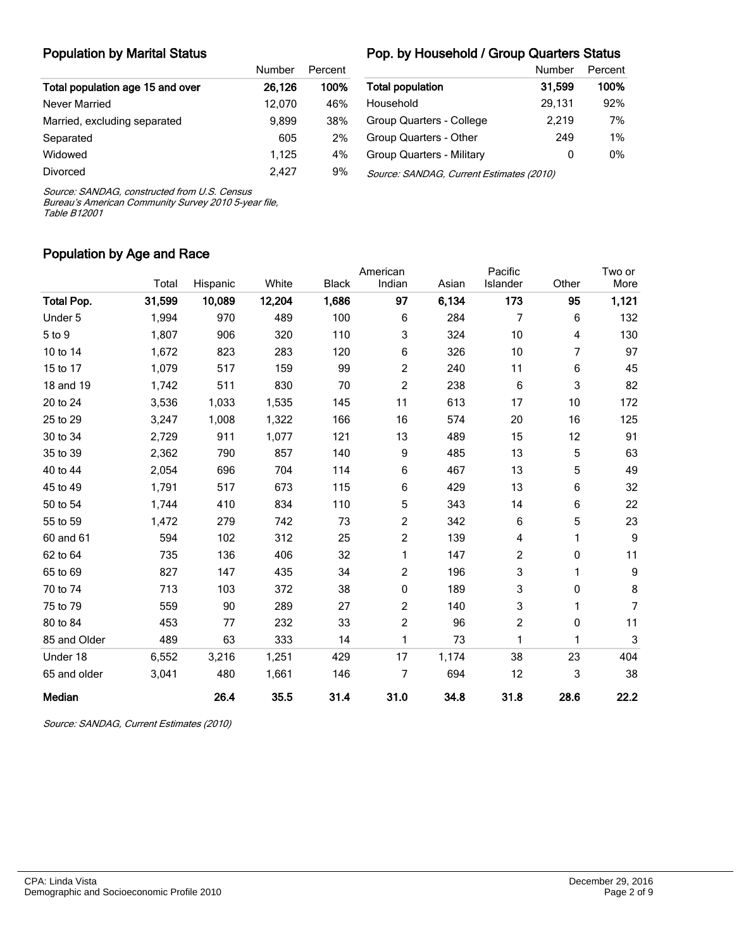#### Population by Marital Status

#### Pop. by Household / Group Quarters Status

|                                  | Number | Percent |
|----------------------------------|--------|---------|
| Total population age 15 and over | 26,126 | 100%    |
| Never Married                    | 12.070 | 46%     |
| Married, excluding separated     | 9.899  | 38%     |
| Separated                        | 605    | 2%      |
| Widowed                          | 1.125  | 4%      |
| Divorced                         | 2.427  | 9%      |

|                                          | Number | Percent |
|------------------------------------------|--------|---------|
| <b>Total population</b>                  | 31.599 | 100%    |
| Household                                | 29,131 | 92%     |
| Group Quarters - College                 | 2.219  | 7%      |
| Group Quarters - Other                   | 249    | 1%      |
| Group Quarters - Military                | 0      | 0%      |
| Source: SANDAG, Current Estimates (2010) |        |         |

Source: SANDAG, constructed from U.S. Census

Bureau's American Community Survey 2010 5-year file, Table B12001

#### Population by Age and Race

|                   |        |          |        |              | American       |       | Pacific        |       | Two or     |
|-------------------|--------|----------|--------|--------------|----------------|-------|----------------|-------|------------|
|                   | Total  | Hispanic | White  | <b>Black</b> | Indian         | Asian | Islander       | Other | More       |
| <b>Total Pop.</b> | 31,599 | 10,089   | 12,204 | 1,686        | 97             | 6,134 | 173            | 95    | 1,121      |
| Under 5           | 1,994  | 970      | 489    | 100          | 6              | 284   | 7              | 6     | 132        |
| 5 to 9            | 1,807  | 906      | 320    | 110          | 3              | 324   | 10             | 4     | 130        |
| 10 to 14          | 1,672  | 823      | 283    | 120          | 6              | 326   | 10             | 7     | 97         |
| 15 to 17          | 1,079  | 517      | 159    | 99           | 2              | 240   | 11             | 6     | 45         |
| 18 and 19         | 1,742  | 511      | 830    | 70           | 2              | 238   | 6              | 3     | 82         |
| 20 to 24          | 3,536  | 1,033    | 1,535  | 145          | 11             | 613   | 17             | 10    | 172        |
| 25 to 29          | 3,247  | 1,008    | 1,322  | 166          | 16             | 574   | 20             | 16    | 125        |
| 30 to 34          | 2,729  | 911      | 1,077  | 121          | 13             | 489   | 15             | 12    | 91         |
| 35 to 39          | 2,362  | 790      | 857    | 140          | 9              | 485   | 13             | 5     | 63         |
| 40 to 44          | 2,054  | 696      | 704    | 114          | 6              | 467   | 13             | 5     | 49         |
| 45 to 49          | 1,791  | 517      | 673    | 115          | 6              | 429   | 13             | 6     | 32         |
| 50 to 54          | 1,744  | 410      | 834    | 110          | 5              | 343   | 14             | 6     | 22         |
| 55 to 59          | 1,472  | 279      | 742    | 73           | 2              | 342   | 6              | 5     | 23         |
| 60 and 61         | 594    | 102      | 312    | 25           | 2              | 139   | 4              | 1     | $9\,$      |
| 62 to 64          | 735    | 136      | 406    | 32           | 1              | 147   | $\overline{c}$ | 0     | 11         |
| 65 to 69          | 827    | 147      | 435    | 34           | $\overline{c}$ | 196   | 3              | 1     | $9\,$      |
| 70 to 74          | 713    | 103      | 372    | 38           | 0              | 189   | 3              | 0     | 8          |
| 75 to 79          | 559    | 90       | 289    | 27           | 2              | 140   | 3              | 1     | 7          |
| 80 to 84          | 453    | 77       | 232    | 33           | $\overline{c}$ | 96    | $\overline{c}$ | 0     | 11         |
| 85 and Older      | 489    | 63       | 333    | 14           | 1              | 73    | 1              | 1     | $\sqrt{3}$ |
| Under 18          | 6,552  | 3,216    | 1,251  | 429          | 17             | 1,174 | 38             | 23    | 404        |
| 65 and older      | 3,041  | 480      | 1,661  | 146          | 7              | 694   | 12             | 3     | 38         |
| Median            |        | 26.4     | 35.5   | 31.4         | 31.0           | 34.8  | 31.8           | 28.6  | 22.2       |

Source: SANDAG, Current Estimates (2010)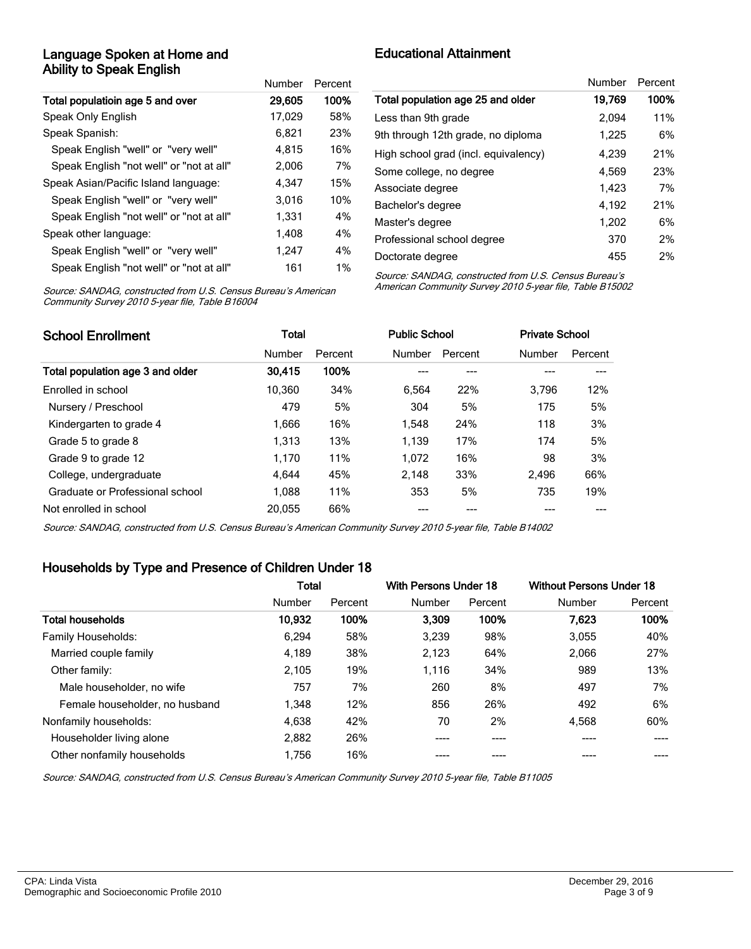### Language Spoken at Home and Ability to Speak English

|                                          | Number | Percent |
|------------------------------------------|--------|---------|
| Total populatioin age 5 and over         | 29,605 | 100%    |
| Speak Only English                       | 17,029 | 58%     |
| Speak Spanish:                           | 6,821  | 23%     |
| Speak English "well" or "very well"      | 4.815  | 16%     |
| Speak English "not well" or "not at all" | 2,006  | 7%      |
| Speak Asian/Pacific Island language:     | 4.347  | 15%     |
| Speak English "well" or "very well"      | 3.016  | 10%     |
| Speak English "not well" or "not at all" | 1,331  | 4%      |
| Speak other language:                    | 1,408  | 4%      |
| Speak English "well" or "very well"      | 1,247  | 4%      |
| Speak English "not well" or "not at all" | 161    | $1\%$   |

Educational Attainment

| Number | Percent |
|--------|---------|
| 19.769 | 100%    |
| 2.094  | 11%     |
| 1,225  | 6%      |
| 4.239  | 21%     |
| 4.569  | 23%     |
| 1.423  | 7%      |
| 4,192  | 21%     |
| 1,202  | 6%      |
| 370    | 2%      |
| 455    | 2%      |
|        |         |

Source: SANDAG, constructed from U.S. Census Bureau's American Community Survey 2010 5-year file, Table B16004

Source: SANDAG, constructed from U.S. Census Bureau's American Community Survey 2010 5-year file, Table B15002

| <b>School Enrollment</b>         | Total  |         | <b>Public School</b> |         | <b>Private School</b> |         |
|----------------------------------|--------|---------|----------------------|---------|-----------------------|---------|
|                                  | Number | Percent | Number               | Percent | Number                | Percent |
| Total population age 3 and older | 30.415 | 100%    |                      | ---     |                       |         |
| Enrolled in school               | 10.360 | 34%     | 6.564                | 22%     | 3.796                 | 12%     |
| Nursery / Preschool              | 479    | 5%      | 304                  | 5%      | 175                   | 5%      |
| Kindergarten to grade 4          | 1.666  | 16%     | 1.548                | 24%     | 118                   | 3%      |
| Grade 5 to grade 8               | 1.313  | 13%     | 1.139                | 17%     | 174                   | 5%      |
| Grade 9 to grade 12              | 1.170  | 11%     | 1.072                | 16%     | 98                    | 3%      |
| College, undergraduate           | 4.644  | 45%     | 2.148                | 33%     | 2.496                 | 66%     |
| Graduate or Professional school  | 1.088  | 11%     | 353                  | 5%      | 735                   | 19%     |
| Not enrolled in school           | 20.055 | 66%     |                      |         |                       |         |

Source: SANDAG, constructed from U.S. Census Bureau's American Community Survey 2010 5-year file, Table B14002

### Households by Type and Presence of Children Under 18

|                                | <b>Total</b> |         | With Persons Under 18 |         | <b>Without Persons Under 18</b> |         |
|--------------------------------|--------------|---------|-----------------------|---------|---------------------------------|---------|
|                                | Number       | Percent | Number                | Percent | Number                          | Percent |
| <b>Total households</b>        | 10,932       | 100%    | 3.309                 | 100%    | 7.623                           | 100%    |
| Family Households:             | 6,294        | 58%     | 3,239                 | 98%     | 3,055                           | 40%     |
| Married couple family          | 4,189        | 38%     | 2,123                 | 64%     | 2,066                           | 27%     |
| Other family:                  | 2,105        | 19%     | 1,116                 | 34%     | 989                             | 13%     |
| Male householder, no wife      | 757          | 7%      | 260                   | 8%      | 497                             | 7%      |
| Female householder, no husband | 1,348        | 12%     | 856                   | 26%     | 492                             | 6%      |
| Nonfamily households:          | 4,638        | 42%     | 70                    | 2%      | 4,568                           | 60%     |
| Householder living alone       | 2,882        | 26%     | ----                  | ----    |                                 |         |
| Other nonfamily households     | 1,756        | 16%     |                       |         |                                 |         |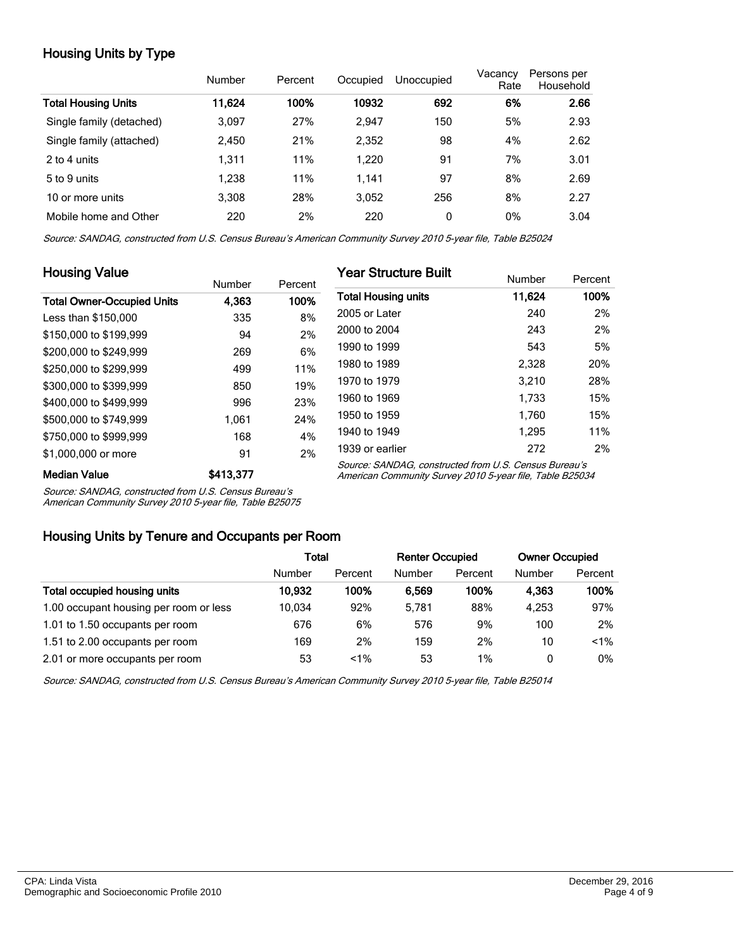# Housing Units by Type

|                            | Number | Percent | Occupied | Unoccupied | Vacancy<br>Rate | Persons per<br>Household |
|----------------------------|--------|---------|----------|------------|-----------------|--------------------------|
| <b>Total Housing Units</b> | 11.624 | 100%    | 10932    | 692        | 6%              | 2.66                     |
| Single family (detached)   | 3,097  | 27%     | 2,947    | 150        | 5%              | 2.93                     |
| Single family (attached)   | 2.450  | 21%     | 2,352    | 98         | 4%              | 2.62                     |
| 2 to 4 units               | 1,311  | 11%     | 1.220    | 91         | 7%              | 3.01                     |
| 5 to 9 units               | 1.238  | 11%     | 1,141    | 97         | 8%              | 2.69                     |
| 10 or more units           | 3.308  | 28%     | 3.052    | 256        | 8%              | 2.27                     |
| Mobile home and Other      | 220    | 2%      | 220      | 0          | 0%              | 3.04                     |

Source: SANDAG, constructed from U.S. Census Bureau's American Community Survey 2010 5-year file, Table B25024

| <b>Housing Value</b>              |           |         | <b>Year Structure Built</b>                                                                                       |        |         |
|-----------------------------------|-----------|---------|-------------------------------------------------------------------------------------------------------------------|--------|---------|
|                                   | Number    | Percent |                                                                                                                   | Number | Percent |
| <b>Total Owner-Occupied Units</b> | 4.363     | 100%    | <b>Total Housing units</b>                                                                                        | 11.624 | 100%    |
| Less than \$150,000               | 335       | 8%      | 2005 or Later                                                                                                     | 240    | 2%      |
| \$150,000 to \$199,999            | 94        | 2%      | 2000 to 2004                                                                                                      | 243    | 2%      |
| \$200,000 to \$249,999            | 269       | 6%      | 1990 to 1999                                                                                                      | 543    | 5%      |
| \$250,000 to \$299.999            | 499       | 11%     | 1980 to 1989                                                                                                      | 2,328  | 20%     |
| \$300,000 to \$399,999            | 850       | 19%     | 1970 to 1979                                                                                                      | 3.210  | 28%     |
| \$400,000 to \$499.999            | 996       | 23%     | 1960 to 1969                                                                                                      | 1.733  | 15%     |
| \$500,000 to \$749.999            | 1.061     | 24%     | 1950 to 1959                                                                                                      | 1.760  | 15%     |
| \$750,000 to \$999,999            | 168       | 4%      | 1940 to 1949                                                                                                      | 1.295  | 11%     |
| \$1,000,000 or more               | 91        | 2%      | 1939 or earlier                                                                                                   | 272    | 2%      |
| <b>Median Value</b>               | \$413,377 |         | Source: SANDAG, constructed from U.S. Census Bureau's<br>American Community Survey 2010 5-year file, Table B25034 |        |         |

Median Value \$413,377

Source: SANDAG, constructed from U.S. Census Bureau's

American Community Survey 2010 5-year file, Table B25075

#### Housing Units by Tenure and Occupants per Room

|                                        |        | Total   |        | <b>Renter Occupied</b> |        | <b>Owner Occupied</b> |  |
|----------------------------------------|--------|---------|--------|------------------------|--------|-----------------------|--|
|                                        | Number | Percent | Number | Percent                | Number | Percent               |  |
| Total occupied housing units           | 10.932 | 100%    | 6.569  | 100%                   | 4.363  | 100%                  |  |
| 1.00 occupant housing per room or less | 10.034 | 92%     | 5.781  | 88%                    | 4.253  | 97%                   |  |
| 1.01 to 1.50 occupants per room        | 676    | 6%      | 576    | 9%                     | 100    | 2%                    |  |
| 1.51 to 2.00 occupants per room        | 169    | 2%      | 159    | 2%                     | 10     | $< 1\%$               |  |
| 2.01 or more occupants per room        | 53     | $1\%$   | 53     | $1\%$                  | 0      | $0\%$                 |  |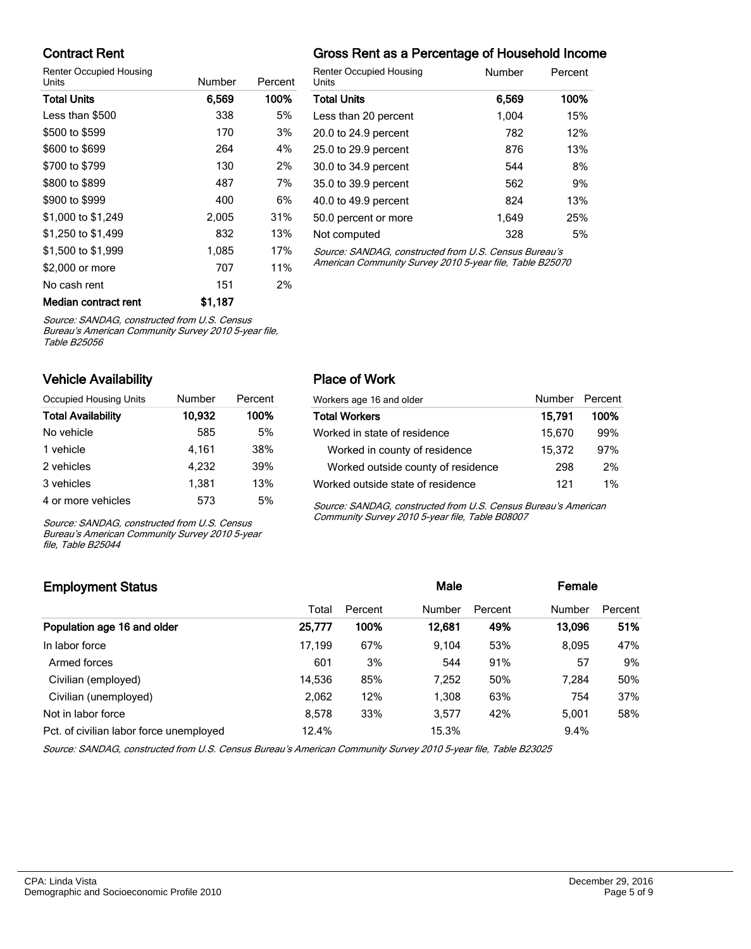### Contract Rent

Renter Occupied Housing

| Units                | Number  | Percent |  |
|----------------------|---------|---------|--|
| <b>Total Units</b>   | 6,569   | 100%    |  |
| Less than \$500      | 338     | 5%      |  |
| \$500 to \$599       | 170     | 3%      |  |
| \$600 to \$699       | 264     | 4%      |  |
| \$700 to \$799       | 130     | 2%      |  |
| \$800 to \$899       | 487     | 7%      |  |
| \$900 to \$999       | 400     | 6%      |  |
| \$1,000 to \$1,249   | 2,005   | 31%     |  |
| \$1,250 to \$1,499   | 832     | 13%     |  |
| \$1,500 to \$1,999   | 1,085   | 17%     |  |
| \$2,000 or more      | 707     | 11%     |  |
| No cash rent         | 151     | 2%      |  |
| Median contract rent | \$1.187 |         |  |

# Gross Rent as a Percentage of Household Income

| <b>Renter Occupied Housing</b><br>Units               | Number | Percent |
|-------------------------------------------------------|--------|---------|
| <b>Total Units</b>                                    | 6,569  | 100%    |
| Less than 20 percent                                  | 1,004  | 15%     |
| 20.0 to 24.9 percent                                  | 782    | 12%     |
| 25.0 to 29.9 percent                                  | 876    | 13%     |
| 30.0 to 34.9 percent                                  | 544    | 8%      |
| 35.0 to 39.9 percent                                  | 562    | 9%      |
| 40.0 to 49.9 percent                                  | 824    | 13%     |
| 50.0 percent or more                                  | 1.649  | 25%     |
| Not computed                                          | 328    | 5%      |
| Source: SANDAG, constructed from U.S. Census Bureau's |        |         |

Source: SANDAG, constructed from U.S. Census Bureau's American Community Survey 2010 5-year file, Table B25070

Source: SANDAG, constructed from U.S. Census

Bureau's American Community Survey 2010 5-year file, Table B25056

### Vehicle Availability

| Occupied Housing Units    | Number | Percent |
|---------------------------|--------|---------|
| <b>Total Availability</b> | 10.932 | 100%    |
| No vehicle                | 585    | 5%      |
| 1 vehicle                 | 4.161  | 38%     |
| 2 vehicles                | 4.232  | 39%     |
| 3 vehicles                | 1,381  | 13%     |
| 4 or more vehicles        | 573    | 5%      |

Source: SANDAG, constructed from U.S. Census Bureau's American Community Survey 2010 5-year file, Table B25044

### Place of Work

| Workers age 16 and older           | Number Percent |       |
|------------------------------------|----------------|-------|
| <b>Total Workers</b>               | 15,791         | 100%  |
| Worked in state of residence       | 15,670         | 99%   |
| Worked in county of residence      | 15,372         | 97%   |
| Worked outside county of residence | 298            | 2%    |
| Worked outside state of residence  | 121            | $1\%$ |

Source: SANDAG, constructed from U.S. Census Bureau's American Community Survey 2010 5-year file, Table B08007

# Employment Status **Employment Status Male Employment Status Male Employment Status Male Employment Status** Total Percent Number Percent Number Percent Population age 16 and older 25,777 100% 12,681 49% 13,096 51% In labor force 17,199 67% 9,104 53% 8,095 47% Armed forces 601 53% 544 91% 57 9% Civilian (employed) 14,536 85% 7,252 50% 7,284 50% Civilian (unemployed) 2,062 12% 1,308 63% 754 37% Not in labor force **8,578** 33% 3,577 42% 5,001 58% Pct. of civilian labor force unemployed 12.4% 15.3% 15.3% 9.4%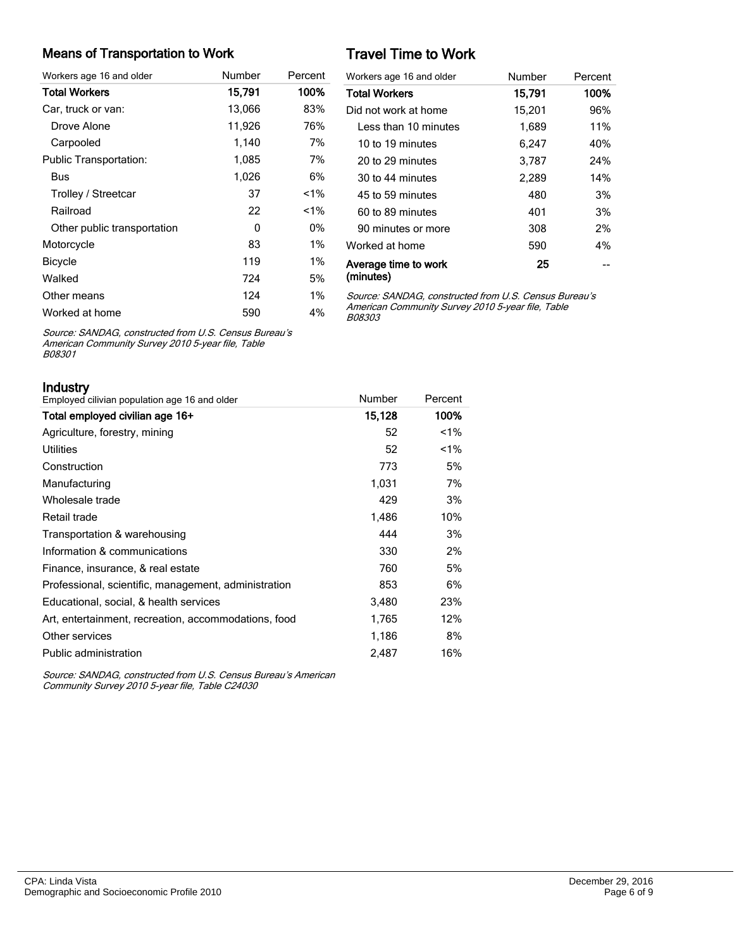#### Means of Transportation to Work

| Workers age 16 and older      | Number | Percent |
|-------------------------------|--------|---------|
| <b>Total Workers</b>          | 15,791 | 100%    |
| Car, truck or van:            | 13,066 | 83%     |
| Drove Alone                   | 11,926 | 76%     |
| Carpooled                     | 1,140  | 7%      |
| <b>Public Transportation:</b> | 1,085  | 7%      |
| Bus                           | 1,026  | 6%      |
| Trolley / Streetcar           | 37     | $1\%$   |
| Railroad                      | 22     | $< 1\%$ |
| Other public transportation   | 0      | 0%      |
| Motorcycle                    | 83     | $1\%$   |
| <b>Bicycle</b>                | 119    | $1\%$   |
| Walked                        | 724    | 5%      |
| Other means                   | 124    | $1\%$   |
| Worked at home                | 590    | 4%      |

# Travel Time to Work

| Workers age 16 and older          | Number | Percent |
|-----------------------------------|--------|---------|
| <b>Total Workers</b>              | 15,791 | 100%    |
| Did not work at home              | 15,201 | 96%     |
| Less than 10 minutes              | 1,689  | 11%     |
| 10 to 19 minutes                  | 6.247  | 40%     |
| 20 to 29 minutes                  | 3,787  | 24%     |
| 30 to 44 minutes                  | 2,289  | 14%     |
| 45 to 59 minutes                  | 480    | 3%      |
| 60 to 89 minutes                  | 401    | 3%      |
| 90 minutes or more                | 308    | 2%      |
| Worked at home                    | 590    | 4%      |
| Average time to work<br>(minutes) | 25     |         |

Source: SANDAG, constructed from U.S. Census Bureau's American Community Survey 2010 5-year file, Table B08303

Source: SANDAG, constructed from U.S. Census Bureau's American Community Survey 2010 5-year file, Table B08301

Industry

| ii iuusu y<br>Employed cilivian population age 16 and older | Number | Percent |
|-------------------------------------------------------------|--------|---------|
| Total employed civilian age 16+                             | 15,128 | 100%    |
| Agriculture, forestry, mining                               | 52     | $1\%$   |
| Utilities                                                   | 52     | $1\%$   |
| Construction                                                | 773    | 5%      |
| Manufacturing                                               | 1,031  | 7%      |
| Wholesale trade                                             | 429    | 3%      |
| Retail trade                                                | 1,486  | 10%     |
| Transportation & warehousing                                | 444    | 3%      |
| Information & communications                                | 330    | 2%      |
| Finance, insurance, & real estate                           | 760    | 5%      |
| Professional, scientific, management, administration        | 853    | 6%      |
| Educational, social, & health services                      | 3,480  | 23%     |
| Art, entertainment, recreation, accommodations, food        | 1,765  | 12%     |
| Other services                                              | 1,186  | 8%      |
| Public administration                                       | 2.487  | 16%     |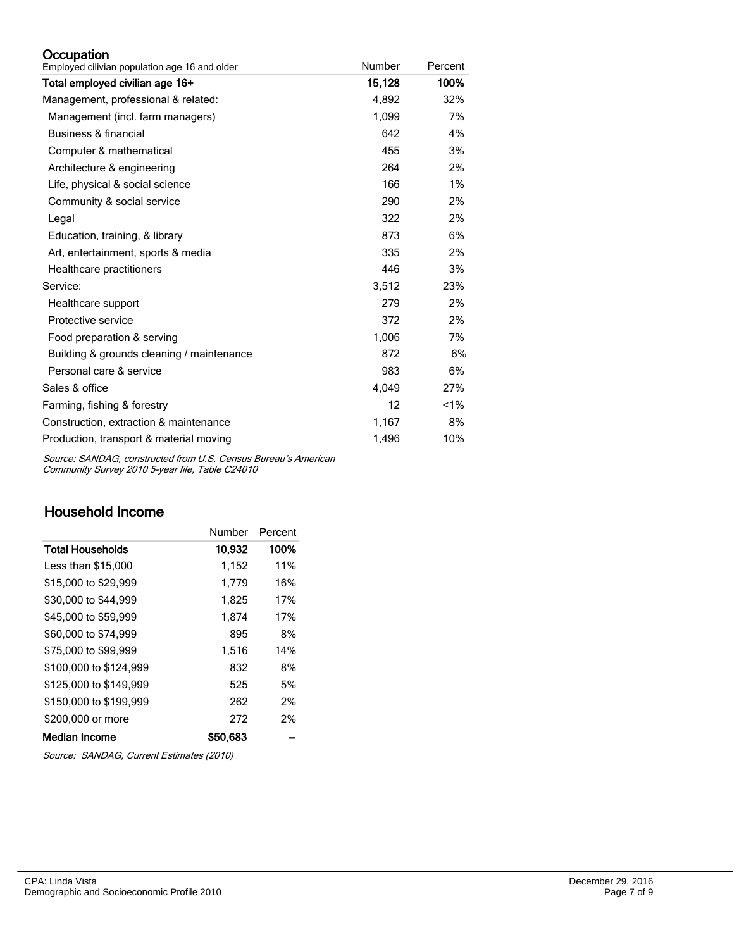#### **Occupation**

| Employed cilivian population age 16 and older | Number | Percent |
|-----------------------------------------------|--------|---------|
| Total employed civilian age 16+               | 15,128 | 100%    |
| Management, professional & related:           | 4,892  | 32%     |
| Management (incl. farm managers)              | 1,099  | 7%      |
| Business & financial                          | 642    | 4%      |
| Computer & mathematical                       | 455    | 3%      |
| Architecture & engineering                    | 264    | 2%      |
| Life, physical & social science               | 166    | 1%      |
| Community & social service                    | 290    | 2%      |
| Legal                                         | 322    | 2%      |
| Education, training, & library                | 873    | 6%      |
| Art, entertainment, sports & media            | 335    | 2%      |
| Healthcare practitioners                      | 446    | 3%      |
| Service:                                      | 3,512  | 23%     |
| Healthcare support                            | 279    | 2%      |
| Protective service                            | 372    | 2%      |
| Food preparation & serving                    | 1,006  | 7%      |
| Building & grounds cleaning / maintenance     | 872    | 6%      |
| Personal care & service                       | 983    | 6%      |
| Sales & office                                | 4,049  | 27%     |
| Farming, fishing & forestry                   | 12     | $1\%$   |
| Construction, extraction & maintenance        | 1,167  | 8%      |
| Production, transport & material moving       | 1,496  | 10%     |

Source: SANDAG, constructed from U.S. Census Bureau's American Community Survey 2010 5-year file, Table C24010

# Household Income

|                        | Number   | Percent |
|------------------------|----------|---------|
| Total Households       | 10,932   | 100%    |
| Less than \$15,000     | 1,152    | 11%     |
| \$15,000 to \$29,999   | 1,779    | 16%     |
| \$30,000 to \$44,999   | 1,825    | 17%     |
| \$45,000 to \$59,999   | 1.874    | 17%     |
| \$60,000 to \$74,999   | 895      | 8%      |
| \$75,000 to \$99.999   | 1.516    | 14%     |
| \$100,000 to \$124.999 | 832      | 8%      |
| \$125,000 to \$149.999 | 525      | 5%      |
| \$150,000 to \$199,999 | 262      | 2%      |
| \$200,000 or more      | 272      | 2%      |
| Median Income          | \$50,683 |         |

Source: SANDAG, Current Estimates (2010)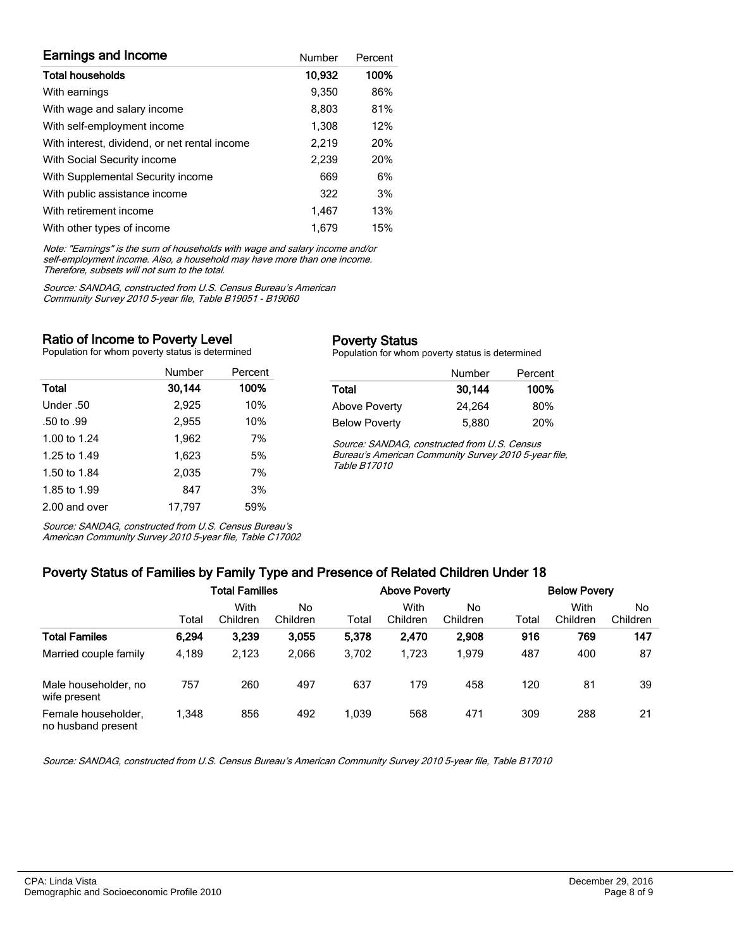| <b>Earnings and Income</b>                    | Number | Percent |
|-----------------------------------------------|--------|---------|
| <b>Total households</b>                       | 10,932 | 100%    |
| With earnings                                 | 9.350  | 86%     |
| With wage and salary income                   | 8,803  | 81%     |
| With self-employment income                   | 1,308  | 12%     |
| With interest, dividend, or net rental income | 2,219  | 20%     |
| With Social Security income                   | 2,239  | 20%     |
| With Supplemental Security income             | 669    | 6%      |
| With public assistance income                 | 322    | 3%      |
| With retirement income                        | 1.467  | 13%     |
| With other types of income                    | 1.679  | 15%     |

Note: "Earnings" is the sum of households with wage and salary income and/or self-employment income. Also, a household may have more than one income. Therefore, subsets will not sum to the total.

Source: SANDAG, constructed from U.S. Census Bureau's American Community Survey 2010 5-year file, Table B19051 - B19060

#### Ratio of Income to Poverty Level

Population for whom poverty status is determined

|               | Number | Percent |
|---------------|--------|---------|
| Total         | 30,144 | 100%    |
| Under .50     | 2,925  | 10%     |
| .50 to .99    | 2,955  | 10%     |
| 1.00 to 1.24  | 1,962  | 7%      |
| 1.25 to 1.49  | 1.623  | 5%      |
| 1.50 to 1.84  | 2,035  | 7%      |
| 1.85 to 1.99  | 847    | 3%      |
| 2.00 and over | 17.797 | 59%     |

Source: SANDAG, constructed from U.S. Census Bureau's

#### Poverty Status

Population for whom poverty status is determined

|                      | Number | Percent |
|----------------------|--------|---------|
| Total                | 30,144 | 100%    |
| <b>Above Poverty</b> | 24.264 | 80%     |
| <b>Below Poverty</b> | 5,880  | 20%     |

Source: SANDAG, constructed from U.S. Census Bureau's American Community Survey 2010 5-year file, Table B17010

American Community Survey 2010 5-year file, Table C17002

#### Poverty Status of Families by Family Type and Presence of Related Children Under 18

|                                           | <b>Total Families</b> |                  |                | <b>Above Poverty</b> |                  |                | <b>Below Povery</b> |                  |                |
|-------------------------------------------|-----------------------|------------------|----------------|----------------------|------------------|----------------|---------------------|------------------|----------------|
|                                           | Total                 | With<br>Children | No<br>Children | Total                | With<br>Children | No<br>Children | Total               | With<br>Children | No<br>Children |
| <b>Total Familes</b>                      | 6,294                 | 3,239            | 3.055          | 5,378                | 2,470            | 2,908          | 916                 | 769              | 147            |
| Married couple family                     | 4,189                 | 2.123            | 2.066          | 3.702                | 1.723            | 1.979          | 487                 | 400              | 87             |
| Male householder, no<br>wife present      | 757                   | 260              | 497            | 637                  | 179              | 458            | 120                 | 81               | 39             |
| Female householder,<br>no husband present | 1.348                 | 856              | 492            | 1.039                | 568              | 471            | 309                 | 288              | 21             |